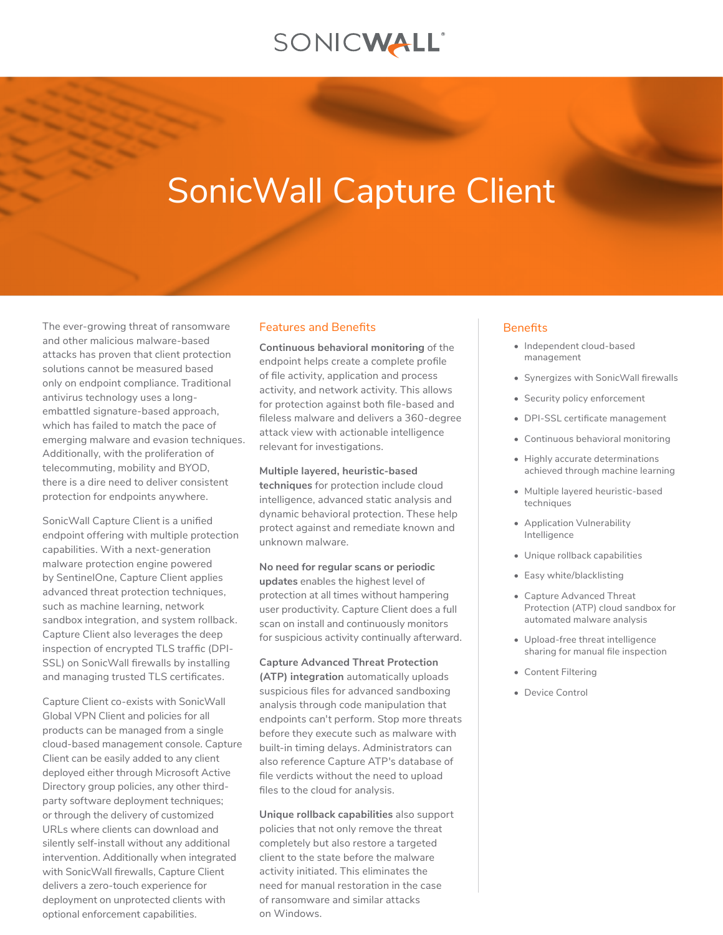# SONICWALL®

# SonicWall Capture Client

The ever-growing threat of ransomware and other malicious malware-based attacks has proven that client protection solutions cannot be measured based only on endpoint compliance. Traditional antivirus technology uses a longembattled signature-based approach, which has failed to match the pace of emerging malware and evasion techniques. Additionally, with the proliferation of telecommuting, mobility and BYOD, there is a dire need to deliver consistent protection for endpoints anywhere.

SonicWall Capture Client is a unified endpoint offering with multiple protection capabilities. With a next-generation malware protection engine powered by SentinelOne, Capture Client applies advanced threat protection techniques, such as machine learning, network sandbox integration, and system rollback. Capture Client also leverages the deep inspection of encrypted TLS traffic (DPI-SSL) on SonicWall firewalls by installing and managing trusted TLS certificates.

Capture Client co-exists with SonicWall Global VPN Client and policies for all products can be managed from a single cloud-based management console. Capture Client can be easily added to any client deployed either through Microsoft Active Directory group policies, any other thirdparty software deployment techniques; or through the delivery of customized URLs where clients can download and silently self-install without any additional intervention. Additionally when integrated with SonicWall firewalls, Capture Client delivers a zero-touch experience for deployment on unprotected clients with optional enforcement capabilities.

#### Features and Benefits

**Continuous behavioral monitoring** of the endpoint helps create a complete profile of file activity, application and process activity, and network activity. This allows for protection against both file-based and fileless malware and delivers a 360-degree attack view with actionable intelligence relevant for investigations.

**Multiple layered, heuristic-based techniques** for protection include cloud intelligence, advanced static analysis and dynamic behavioral protection. These help protect against and remediate known and unknown malware.

**No need for regular scans or periodic updates** enables the highest level of protection at all times without hampering user productivity. Capture Client does a full scan on install and continuously monitors for suspicious activity continually afterward.

#### **Capture Advanced Threat Protection**

**(ATP) integration** automatically uploads suspicious files for advanced sandboxing analysis through code manipulation that endpoints can't perform. Stop more threats before they execute such as malware with built-in timing delays. Administrators can also reference Capture ATP's database of file verdicts without the need to upload files to the cloud for analysis.

**Unique rollback capabilities** also support policies that not only remove the threat completely but also restore a targeted client to the state before the malware activity initiated. This eliminates the need for manual restoration in the case of ransomware and similar attacks on Windows.

#### **Benefits**

- Independent cloud-based management
- Synergizes with SonicWall firewalls
- Security policy enforcement
- DPI-SSL certificate management
- Continuous behavioral monitoring
- Highly accurate determinations achieved through machine learning
- Multiple layered heuristic-based techniques
- Application Vulnerability Intelligence
- Unique rollback capabilities
- Easy white/blacklisting
- Capture Advanced Threat Protection (ATP) cloud sandbox for automated malware analysis
- Upload-free threat intelligence sharing for manual file inspection
- Content Filtering
- Device Control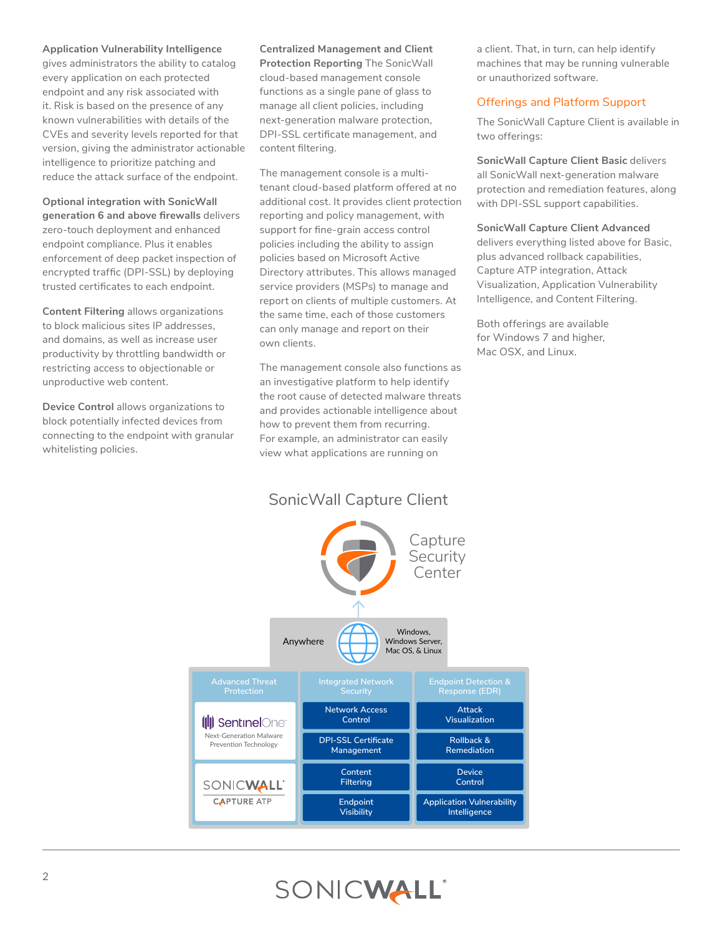### **Application Vulnerability Intelligence**

gives administrators the ability to catalog every application on each protected endpoint and any risk associated with it. Risk is based on the presence of any known vulnerabilities with details of the CVEs and severity levels reported for that version, giving the administrator actionable intelligence to prioritize patching and reduce the attack surface of the endpoint.

**Optional integration with SonicWall generation 6 and above firewalls** delivers zero-touch deployment and enhanced endpoint compliance. Plus it enables enforcement of deep packet inspection of encrypted traffic (DPI-SSL) by deploying trusted certificates to each endpoint.

**Content Filtering** allows organizations to block malicious sites IP addresses, and domains, as well as increase user productivity by throttling bandwidth or restricting access to objectionable or unproductive web content.

**Device Control** allows organizations to block potentially infected devices from connecting to the endpoint with granular whitelisting policies.

**Centralized Management and Client Protection Reporting** The SonicWall cloud-based management console functions as a single pane of glass to manage all client policies, including next-generation malware protection, DPI-SSL certificate management, and content filtering.

The management console is a multitenant cloud-based platform offered at no additional cost. It provides client protection reporting and policy management, with support for fine-grain access control policies including the ability to assign policies based on Microsoft Active Directory attributes. This allows managed service providers (MSPs) to manage and report on clients of multiple customers. At the same time, each of those customers can only manage and report on their own clients.

The management console also functions as an investigative platform to help identify the root cause of detected malware threats and provides actionable intelligence about how to prevent them from recurring. For example, an administrator can easily view what applications are running on

a client. That, in turn, can help identify machines that may be running vulnerable or unauthorized software.

## Offerings and Platform Support

The SonicWall Capture Client is available in two offerings:

**SonicWall Capture Client Basic** delivers all SonicWall next-generation malware protection and remediation features, along with DPI-SSL support capabilities.

#### **SonicWall Capture Client Advanced**

delivers everything listed above for Basic, plus advanced rollback capabilities, Capture ATP integration, Attack Visualization, Application Vulnerability Intelligence, and Content Filtering.

Both offerings are available for Windows 7 and higher, Mac OSX, and Linux.



# SONICWALL®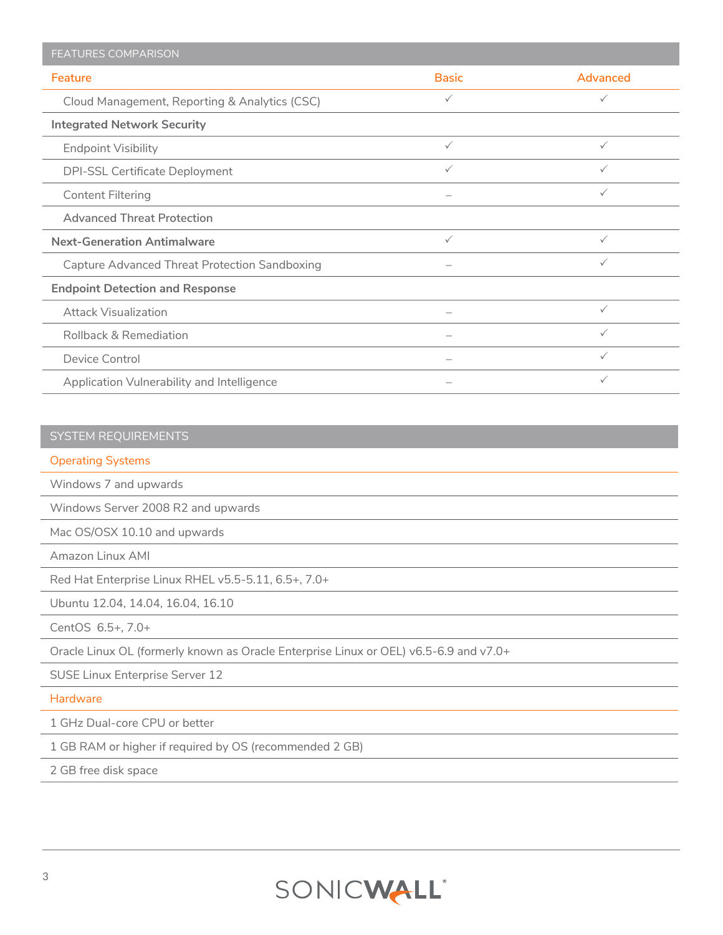| <b>FEATURES COMPARISON</b>                    |              |          |
|-----------------------------------------------|--------------|----------|
| Feature                                       | <b>Basic</b> | Advanced |
| Cloud Management, Reporting & Analytics (CSC) | ✓            | ✓        |
| <b>Integrated Network Security</b>            |              |          |
| <b>Endpoint Visibility</b>                    | $\checkmark$ | ✓        |
| DPI-SSL Certificate Deployment                | ✓            | ✓        |
| <b>Content Filtering</b>                      |              | ✓        |
| <b>Advanced Threat Protection</b>             |              |          |
| <b>Next-Generation Antimalware</b>            | $\checkmark$ | ✓        |
| Capture Advanced Threat Protection Sandboxing |              | ✓        |
| <b>Endpoint Detection and Response</b>        |              |          |
| <b>Attack Visualization</b>                   |              | ✓        |
| <b>Rollback &amp; Remediation</b>             |              | ✓        |
| Device Control                                |              | ✓        |
| Application Vulnerability and Intelligence    |              | ✓        |

# SYSTEM REQUIREMENTS

### Operating Systems

Windows 7 and upwards

Windows Server 2008 R2 and upwards

Mac OS/OSX 10.10 and upwards

Amazon Linux AMI

Red Hat Enterprise Linux RHEL v5.5-5.11, 6.5+, 7.0+

Ubuntu 12.04, 14.04, 16.04, 16.10

CentOS 6.5+, 7.0+

Oracle Linux OL (formerly known as Oracle Enterprise Linux or OEL) v6.5-6.9 and v7.0+

SUSE Linux Enterprise Server 12

**Hardware** 

1 GHz Dual-core CPU or better

1 GB RAM or higher if required by OS (recommended 2 GB)

2 GB free disk space